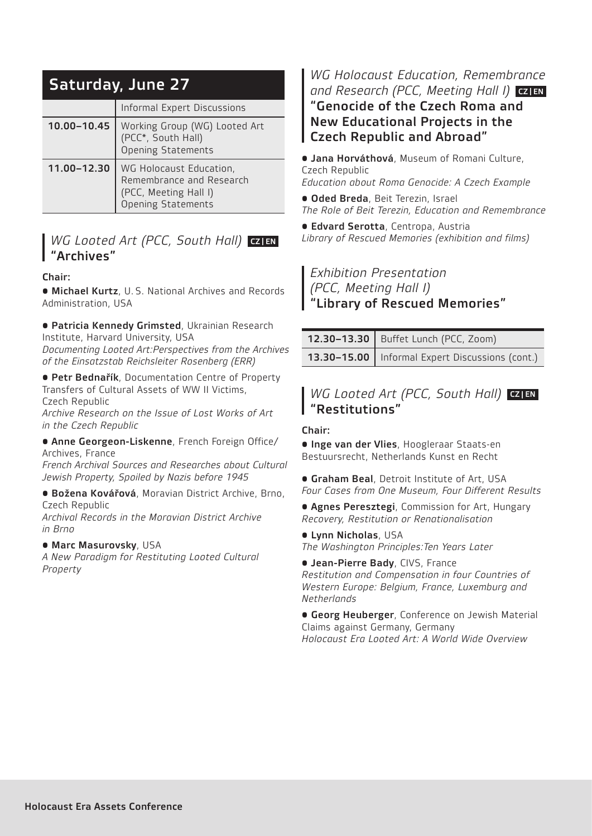# Saturday, June 27

|             | Informal Expert Discussions                                                                               |
|-------------|-----------------------------------------------------------------------------------------------------------|
| 10.00-10.45 | Working Group (WG) Looted Art<br>(PCC*, South Hall)<br><b>Opening Statements</b>                          |
| 11.00-12.30 | WG Holocaust Education,<br>Remembrance and Research<br>(PCC, Meeting Hall I)<br><b>Opening Statements</b> |

### *WG Looted Art (PCC, South Hall)* **CZIEN** "Archives"

### Chair:

• Michael Kurtz, U. S. National Archives and Records Administration, USA

• Patricia Kennedy Grimsted, Ukrainian Research Institute, Harvard University, USA

*Documenting Looted Art:Perspectives from the Archives of the Einsatzstab Reichsleiter Rosenberg (ERR)*

**• Petr Bednařík**, Documentation Centre of Property Transfers of Cultural Assets of WW II Victims, Czech Republic

*Archive Research on the Issue of Lost Works of Art in the Czech Republic* 

• Anne Georgeon-Liskenne, French Foreign Office/ Archives, France

*French Archival Sources and Researches about Cultural Jewish Property, Spoiled by Nazis before 1945* 

• Božena Kovářová, Moravian District Archive, Brno, Czech Republic

*Archival Records in the Moravian District Archive in Brno* 

#### • Marc Masurovsky, USA

*A New Paradigm for Restituting Looted Cultural Property* 

### *WG Holocaust Education, Remembrance*  and Research (PCC, Meeting Hall I) **CZ EN** "Genocide of the Czech Roma and

# New Educational Projects in the Czech Republic and Abroad"

• Jana Horváthová, Museum of Romani Culture, Czech Republic *Education about Roma Genocide: A Czech Example*

• Oded Breda, Beit Terezin, Israel *The Role of Beit Terezin, Education and Remembrance* 

• Edvard Serotta, Centropa, Austria *Library of Rescued Memories (exhibition and films)* 

## *Exhibition Presentation (PCC, Meeting Hall I)* "Library of Rescued Memories"

| 12.30-13.30   Buffet Lunch (PCC, Zoom)            |
|---------------------------------------------------|
| 13.30-15.00   Informal Expert Discussions (cont.) |

### *WG Looted Art (PCC, South Hall)* **CZIEN** "Restitutions"

#### Chair:

• Inge van der Vlies, Hoogleraar Staats-en Bestuursrecht, Netherlands Kunst en Recht

**• Graham Beal**, Detroit Institute of Art, USA *Four Cases from One Museum, Four Different Results*

**• Agnes Peresztegi, Commission for Art, Hungary** *Recovery, Restitution or Renationalisation* 

• Lynn Nicholas, USA *The Washington Principles:Ten Years Later* 

• Jean-Pierre Bady, CIVS, France *Restitution and Compensation in four Countries of Western Europe: Belgium, France, Luxemburg and Netherlands* 

**• Georg Heuberger**, Conference on Jewish Material Claims against Germany, Germany *Holocaust Era Looted Art: A World Wide Overview*